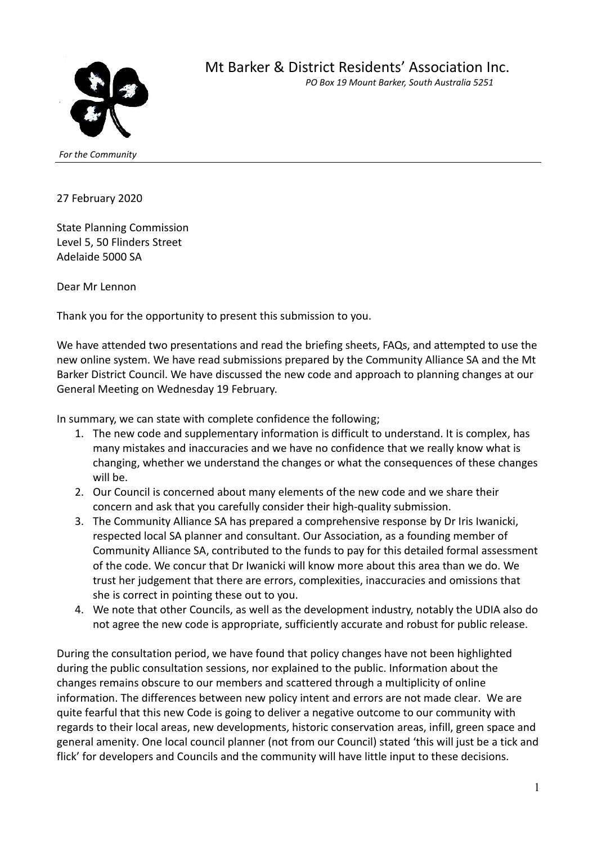

*For the Community*

27 February 2020

State Planning Commission Level 5, 50 Flinders Street Adelaide 5000 SA

Dear Mr Lennon

Thank you for the opportunity to present this submission to you.

We have attended two presentations and read the briefing sheets, FAQs, and attempted to use the new online system. We have read submissions prepared by the Community Alliance SA and the Mt Barker District Council. We have discussed the new code and approach to planning changes at our General Meeting on Wednesday 19 February.

In summary, we can state with complete confidence the following;

- 1. The new code and supplementary information is difficult to understand. It is complex, has many mistakes and inaccuracies and we have no confidence that we really know what is changing, whether we understand the changes or what the consequences of these changes will be.
- 2. Our Council is concerned about many elements of the new code and we share their concern and ask that you carefully consider their high-quality submission.
- 3. The Community Alliance SA has prepared a comprehensive response by Dr Iris Iwanicki, respected local SA planner and consultant. Our Association, as a founding member of Community Alliance SA, contributed to the funds to pay for this detailed formal assessment of the code. We concur that Dr Iwanicki will know more about this area than we do. We trust her judgement that there are errors, complexities, inaccuracies and omissions that she is correct in pointing these out to you.
- 4. We note that other Councils, as well as the development industry, notably the UDIA also do not agree the new code is appropriate, sufficiently accurate and robust for public release.

During the consultation period, we have found that policy changes have not been highlighted during the public consultation sessions, nor explained to the public. Information about the changes remains obscure to our members and scattered through a multiplicity of online information. The differences between new policy intent and errors are not made clear. We are quite fearful that this new Code is going to deliver a negative outcome to our community with regards to their local areas, new developments, historic conservation areas, infill, green space and general amenity. One local council planner (not from our Council) stated 'this will just be a tick and flick' for developers and Councils and the community will have little input to these decisions.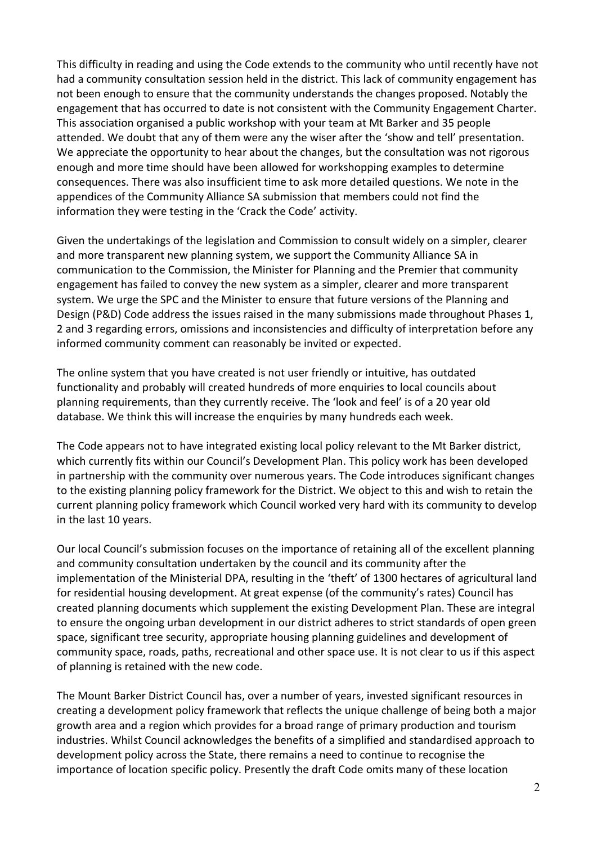This difficulty in reading and using the Code extends to the community who until recently have not had a community consultation session held in the district. This lack of community engagement has not been enough to ensure that the community understands the changes proposed. Notably the engagement that has occurred to date is not consistent with the Community Engagement Charter. This association organised a public workshop with your team at Mt Barker and 35 people attended. We doubt that any of them were any the wiser after the 'show and tell' presentation. We appreciate the opportunity to hear about the changes, but the consultation was not rigorous enough and more time should have been allowed for workshopping examples to determine consequences. There was also insufficient time to ask more detailed questions. We note in the appendices of the Community Alliance SA submission that members could not find the information they were testing in the 'Crack the Code' activity.

Given the undertakings of the legislation and Commission to consult widely on a simpler, clearer and more transparent new planning system, we support the Community Alliance SA in communication to the Commission, the Minister for Planning and the Premier that community engagement has failed to convey the new system as a simpler, clearer and more transparent system. We urge the SPC and the Minister to ensure that future versions of the Planning and Design (P&D) Code address the issues raised in the many submissions made throughout Phases 1, 2 and 3 regarding errors, omissions and inconsistencies and difficulty of interpretation before any informed community comment can reasonably be invited or expected.

The online system that you have created is not user friendly or intuitive, has outdated functionality and probably will created hundreds of more enquiries to local councils about planning requirements, than they currently receive. The 'look and feel' is of a 20 year old database. We think this will increase the enquiries by many hundreds each week.

The Code appears not to have integrated existing local policy relevant to the Mt Barker district, which currently fits within our Council's Development Plan. This policy work has been developed in partnership with the community over numerous years. The Code introduces significant changes to the existing planning policy framework for the District. We object to this and wish to retain the current planning policy framework which Council worked very hard with its community to develop in the last 10 years.

Our local Council's submission focuses on the importance of retaining all of the excellent planning and community consultation undertaken by the council and its community after the implementation of the Ministerial DPA, resulting in the 'theft' of 1300 hectares of agricultural land for residential housing development. At great expense (of the community's rates) Council has created planning documents which supplement the existing Development Plan. These are integral to ensure the ongoing urban development in our district adheres to strict standards of open green space, significant tree security, appropriate housing planning guidelines and development of community space, roads, paths, recreational and other space use. It is not clear to us if this aspect of planning is retained with the new code.

The Mount Barker District Council has, over a number of years, invested significant resources in creating a development policy framework that reflects the unique challenge of being both a major growth area and a region which provides for a broad range of primary production and tourism industries. Whilst Council acknowledges the benefits of a simplified and standardised approach to development policy across the State, there remains a need to continue to recognise the importance of location specific policy. Presently the draft Code omits many of these location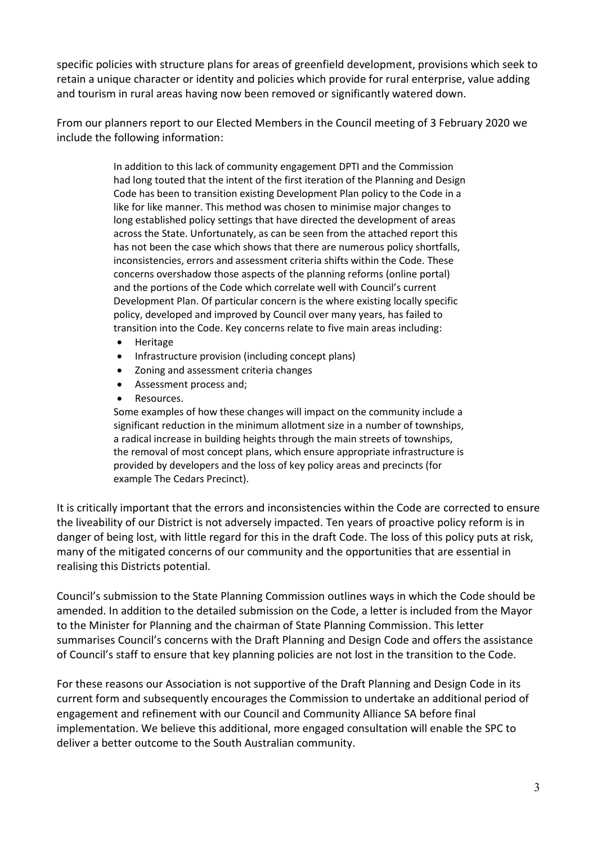specific policies with structure plans for areas of greenfield development, provisions which seek to retain a unique character or identity and policies which provide for rural enterprise, value adding and tourism in rural areas having now been removed or significantly watered down.

From our planners report to our Elected Members in the Council meeting of 3 February 2020 we include the following information:

> In addition to this lack of community engagement DPTI and the Commission had long touted that the intent of the first iteration of the Planning and Design Code has been to transition existing Development Plan policy to the Code in a like for like manner. This method was chosen to minimise major changes to long established policy settings that have directed the development of areas across the State. Unfortunately, as can be seen from the attached report this has not been the case which shows that there are numerous policy shortfalls, inconsistencies, errors and assessment criteria shifts within the Code. These concerns overshadow those aspects of the planning reforms (online portal) and the portions of the Code which correlate well with Council's current Development Plan. Of particular concern is the where existing locally specific policy, developed and improved by Council over many years, has failed to transition into the Code. Key concerns relate to five main areas including:

- Heritage
- Infrastructure provision (including concept plans)
- Zoning and assessment criteria changes
- Assessment process and;
- Resources.

Some examples of how these changes will impact on the community include a significant reduction in the minimum allotment size in a number of townships, a radical increase in building heights through the main streets of townships, the removal of most concept plans, which ensure appropriate infrastructure is provided by developers and the loss of key policy areas and precincts (for example The Cedars Precinct).

It is critically important that the errors and inconsistencies within the Code are corrected to ensure the liveability of our District is not adversely impacted. Ten years of proactive policy reform is in danger of being lost, with little regard for this in the draft Code. The loss of this policy puts at risk, many of the mitigated concerns of our community and the opportunities that are essential in realising this Districts potential.

Council's submission to the State Planning Commission outlines ways in which the Code should be amended. In addition to the detailed submission on the Code, a letter is included from the Mayor to the Minister for Planning and the chairman of State Planning Commission. This letter summarises Council's concerns with the Draft Planning and Design Code and offers the assistance of Council's staff to ensure that key planning policies are not lost in the transition to the Code.

For these reasons our Association is not supportive of the Draft Planning and Design Code in its current form and subsequently encourages the Commission to undertake an additional period of engagement and refinement with our Council and Community Alliance SA before final implementation. We believe this additional, more engaged consultation will enable the SPC to deliver a better outcome to the South Australian community.